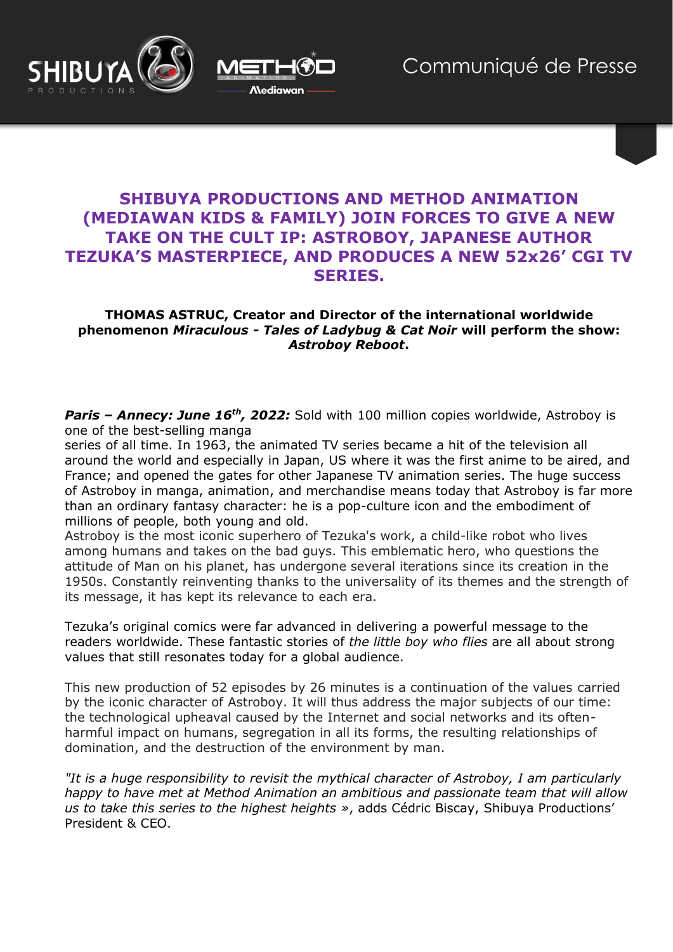



# **SHIBUYA PRODUCTIONS AND METHOD ANIMATION (MEDIAWAN KIDS & FAMILY) JOIN FORCES TO GIVE A NEW TAKE ON THE CULT IP: ASTROBOY, JAPANESE AUTHOR TEZUKA'S MASTERPIECE, AND PRODUCES A NEW 52x26' CGI TV SERIES.**

## **THOMAS ASTRUC, Creator and Director of the international worldwide phenomenon** *Miraculous - Tales of Ladybug & Cat Noir* **will perform the show:**  *Astroboy Reboot***.**

*Paris – Annecy: June 16th, 2022:* Sold with 100 million copies worldwide, Astroboy is one of the best-selling manga

series of all time. In 1963, the animated TV series became a hit of the television all around the world and especially in Japan, US where it was the first anime to be aired, and France; and opened the gates for other Japanese TV animation series. The huge success of Astroboy in manga, animation, and merchandise means today that Astroboy is far more than an ordinary fantasy character: he is a pop-culture icon and the embodiment of millions of people, both young and old.

Astroboy is the most iconic superhero of Tezuka's work, a child-like robot who lives among humans and takes on the bad guys. This emblematic hero, who questions the attitude of Man on his planet, has undergone several iterations since its creation in the 1950s. Constantly reinventing thanks to the universality of its themes and the strength of its message, it has kept its relevance to each era.

Tezuka's original comics were far advanced in delivering a powerful message to the readers worldwide. These fantastic stories of *the little boy who flies* are all about strong values that still resonates today for a global audience.

This new production of 52 episodes by 26 minutes is a continuation of the values carried by the iconic character of Astroboy. It will thus address the major subjects of our time: the technological upheaval caused by the Internet and social networks and its oftenharmful impact on humans, segregation in all its forms, the resulting relationships of domination, and the destruction of the environment by man.

*"It is a huge responsibility to revisit the mythical character of Astroboy, I am particularly happy to have met at Method Animation an ambitious and passionate team that will allow us to take this series to the highest heights »*, adds Cédric Biscay, Shibuya Productions' President & CEO.